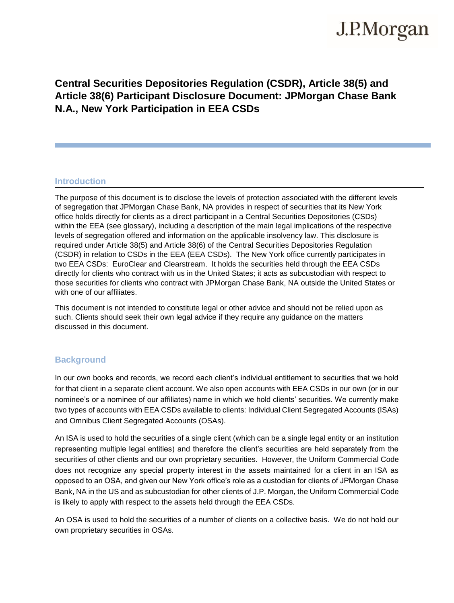## J.P.Morgan

### **Central Securities Depositories Regulation (CSDR), Article 38(5) and Article 38(6) Participant Disclosure Document: JPMorgan Chase Bank N.A., New York Participation in EEA CSDs**

#### **Introduction**

The purpose of this document is to disclose the levels of protection associated with the different levels of segregation that JPMorgan Chase Bank, NA provides in respect of securities that its New York office holds directly for clients as a direct participant in a Central Securities Depositories (CSDs) within the EEA (see glossary), including a description of the main legal implications of the respective levels of segregation offered and information on the applicable insolvency law. This disclosure is required under Article 38(5) and Article 38(6) of the Central Securities Depositories Regulation (CSDR) in relation to CSDs in the EEA (EEA CSDs). The New York office currently participates in two EEA CSDs: EuroClear and Clearstream. It holds the securities held through the EEA CSDs directly for clients who contract with us in the United States; it acts as subcustodian with respect to those securities for clients who contract with JPMorgan Chase Bank, NA outside the United States or with one of our affiliates.

This document is not intended to constitute legal or other advice and should not be relied upon as such. Clients should seek their own legal advice if they require any guidance on the matters discussed in this document.

#### **Background**

In our own books and records, we record each client's individual entitlement to securities that we hold for that client in a separate client account. We also open accounts with EEA CSDs in our own (or in our nominee's or a nominee of our affiliates) name in which we hold clients' securities. We currently make two types of accounts with EEA CSDs available to clients: Individual Client Segregated Accounts (ISAs) and Omnibus Client Segregated Accounts (OSAs).

An ISA is used to hold the securities of a single client (which can be a single legal entity or an institution representing multiple legal entities) and therefore the client's securities are held separately from the securities of other clients and our own proprietary securities. However, the Uniform Commercial Code does not recognize any special property interest in the assets maintained for a client in an ISA as opposed to an OSA, and given our New York office's role as a custodian for clients of JPMorgan Chase Bank, NA in the US and as subcustodian for other clients of J.P. Morgan, the Uniform Commercial Code is likely to apply with respect to the assets held through the EEA CSDs.

An OSA is used to hold the securities of a number of clients on a collective basis. We do not hold our own proprietary securities in OSAs.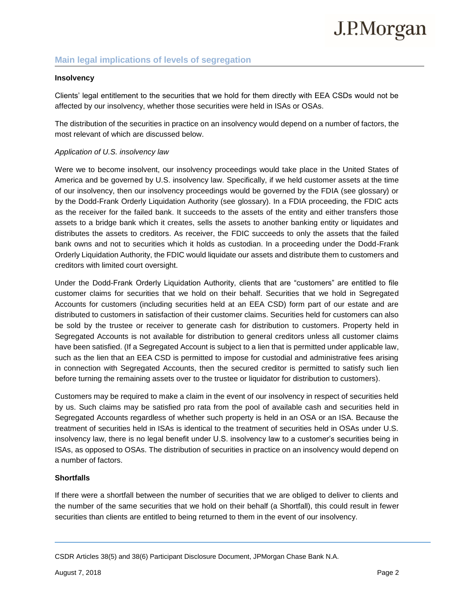# J.P.Morgan

### **Main legal implications of levels of segregation**

#### **Insolvency**

Clients' legal entitlement to the securities that we hold for them directly with EEA CSDs would not be affected by our insolvency, whether those securities were held in ISAs or OSAs.

The distribution of the securities in practice on an insolvency would depend on a number of factors, the most relevant of which are discussed below.

#### *Application of U.S. insolvency law*

Were we to become insolvent, our insolvency proceedings would take place in the United States of America and be governed by U.S. insolvency law. Specifically, if we held customer assets at the time of our insolvency, then our insolvency proceedings would be governed by the FDIA (see glossary) or by the Dodd-Frank Orderly Liquidation Authority (see glossary). In a FDIA proceeding, the FDIC acts as the receiver for the failed bank. It succeeds to the assets of the entity and either transfers those assets to a bridge bank which it creates, sells the assets to another banking entity or liquidates and distributes the assets to creditors. As receiver, the FDIC succeeds to only the assets that the failed bank owns and not to securities which it holds as custodian. In a proceeding under the Dodd-Frank Orderly Liquidation Authority, the FDIC would liquidate our assets and distribute them to customers and creditors with limited court oversight.

Under the Dodd-Frank Orderly Liquidation Authority, clients that are "customers" are entitled to file customer claims for securities that we hold on their behalf. Securities that we hold in Segregated Accounts for customers (including securities held at an EEA CSD) form part of our estate and are distributed to customers in satisfaction of their customer claims. Securities held for customers can also be sold by the trustee or receiver to generate cash for distribution to customers. Property held in Segregated Accounts is not available for distribution to general creditors unless all customer claims have been satisfied. (If a Segregated Account is subject to a lien that is permitted under applicable law, such as the lien that an EEA CSD is permitted to impose for custodial and administrative fees arising in connection with Segregated Accounts, then the secured creditor is permitted to satisfy such lien before turning the remaining assets over to the trustee or liquidator for distribution to customers).

Customers may be required to make a claim in the event of our insolvency in respect of securities held by us. Such claims may be satisfied pro rata from the pool of available cash and securities held in Segregated Accounts regardless of whether such property is held in an OSA or an ISA. Because the treatment of securities held in ISAs is identical to the treatment of securities held in OSAs under U.S. insolvency law, there is no legal benefit under U.S. insolvency law to a customer's securities being in ISAs, as opposed to OSAs. The distribution of securities in practice on an insolvency would depend on a number of factors.

#### **Shortfalls**

If there were a shortfall between the number of securities that we are obliged to deliver to clients and the number of the same securities that we hold on their behalf (a Shortfall), this could result in fewer securities than clients are entitled to being returned to them in the event of our insolvency.

CSDR Articles 38(5) and 38(6) Participant Disclosure Document, JPMorgan Chase Bank N.A.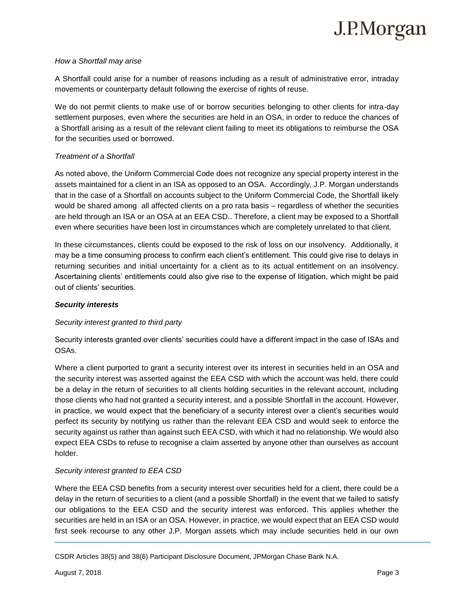#### *How a Shortfall may arise*

A Shortfall could arise for a number of reasons including as a result of administrative error, intraday movements or counterparty default following the exercise of rights of reuse.

We do not permit clients to make use of or borrow securities belonging to other clients for intra-day settlement purposes, even where the securities are held in an OSA, in order to reduce the chances of a Shortfall arising as a result of the relevant client failing to meet its obligations to reimburse the OSA for the securities used or borrowed.

#### *Treatment of a Shortfall*

As noted above, the Uniform Commercial Code does not recognize any special property interest in the assets maintained for a client in an ISA as opposed to an OSA. Accordingly, J.P. Morgan understands that in the case of a Shortfall on accounts subject to the Uniform Commercial Code, the Shortfall likely would be shared among all affected clients on a pro rata basis – regardless of whether the securities are held through an ISA or an OSA at an EEA CSD.. Therefore, a client may be exposed to a Shortfall even where securities have been lost in circumstances which are completely unrelated to that client.

In these circumstances, clients could be exposed to the risk of loss on our insolvency. Additionally, it may be a time consuming process to confirm each client's entitlement. This could give rise to delays in returning securities and initial uncertainty for a client as to its actual entitlement on an insolvency. Ascertaining clients' entitlements could also give rise to the expense of litigation, which might be paid out of clients' securities.

#### *Security interests*

#### *Security interest granted to third party*

Security interests granted over clients' securities could have a different impact in the case of ISAs and OSAs.

Where a client purported to grant a security interest over its interest in securities held in an OSA and the security interest was asserted against the EEA CSD with which the account was held, there could be a delay in the return of securities to all clients holding securities in the relevant account, including those clients who had not granted a security interest, and a possible Shortfall in the account. However, in practice, we would expect that the beneficiary of a security interest over a client's securities would perfect its security by notifying us rather than the relevant EEA CSD and would seek to enforce the security against us rather than against such EEA CSD, with which it had no relationship. We would also expect EEA CSDs to refuse to recognise a claim asserted by anyone other than ourselves as account holder.

#### *Security interest granted to EEA CSD*

Where the EEA CSD benefits from a security interest over securities held for a client, there could be a delay in the return of securities to a client (and a possible Shortfall) in the event that we failed to satisfy our obligations to the EEA CSD and the security interest was enforced. This applies whether the securities are held in an ISA or an OSA. However, in practice, we would expect that an EEA CSD would first seek recourse to any other J.P. Morgan assets which may include securities held in our own

CSDR Articles 38(5) and 38(6) Participant Disclosure Document, JPMorgan Chase Bank N.A.